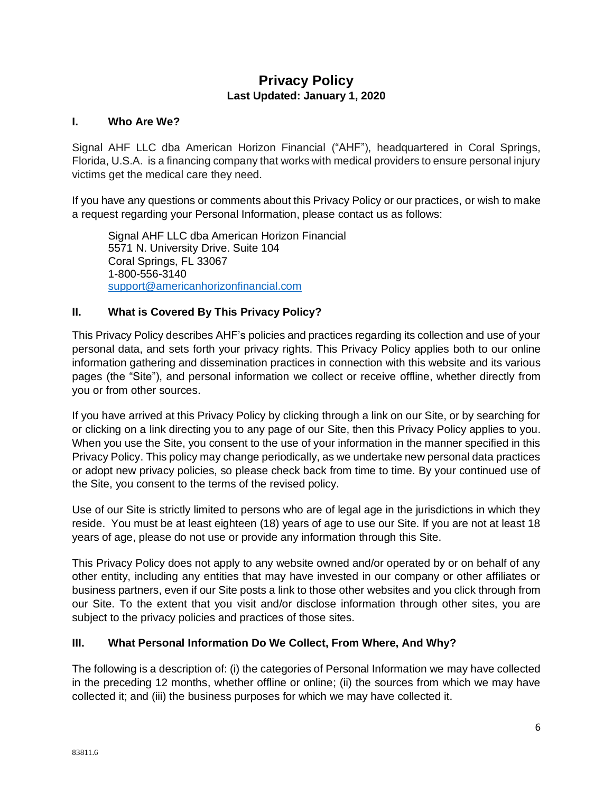# **Privacy Policy Last Updated: January 1, 2020**

### **I. Who Are We?**

Signal AHF LLC dba American Horizon Financial ("AHF"), headquartered in Coral Springs, Florida, U.S.A. is a financing company that works with medical providers to ensure personal injury victims get the medical care they need.

If you have any questions or comments about this Privacy Policy or our practices, or wish to make a request regarding your Personal Information, please contact us as follows:

Signal AHF LLC dba American Horizon Financial 5571 N. University Drive. Suite 104 Coral Springs, FL 33067 1-800-556-3140 [support@americanhorizonfinancial.com](mailto:support@americanhorizonfinancial.com)

### **II. What is Covered By This Privacy Policy?**

This Privacy Policy describes AHF's policies and practices regarding its collection and use of your personal data, and sets forth your privacy rights. This Privacy Policy applies both to our online information gathering and dissemination practices in connection with this website and its various pages (the "Site"), and personal information we collect or receive offline, whether directly from you or from other sources.

If you have arrived at this Privacy Policy by clicking through a link on our Site, or by searching for or clicking on a link directing you to any page of our Site, then this Privacy Policy applies to you. When you use the Site, you consent to the use of your information in the manner specified in this Privacy Policy. This policy may change periodically, as we undertake new personal data practices or adopt new privacy policies, so please check back from time to time. By your continued use of the Site, you consent to the terms of the revised policy.

Use of our Site is strictly limited to persons who are of legal age in the jurisdictions in which they reside. You must be at least eighteen (18) years of age to use our Site. If you are not at least 18 years of age, please do not use or provide any information through this Site.

This Privacy Policy does not apply to any website owned and/or operated by or on behalf of any other entity, including any entities that may have invested in our company or other affiliates or business partners, even if our Site posts a link to those other websites and you click through from our Site. To the extent that you visit and/or disclose information through other sites, you are subject to the privacy policies and practices of those sites.

### **III. What Personal Information Do We Collect, From Where, And Why?**

The following is a description of: (i) the categories of Personal Information we may have collected in the preceding 12 months, whether offline or online; (ii) the sources from which we may have collected it; and (iii) the business purposes for which we may have collected it.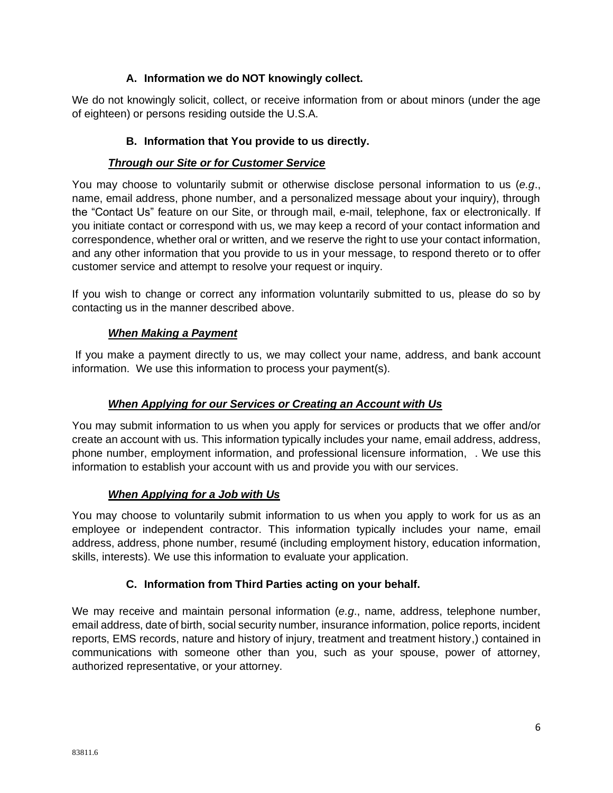## **A. Information we do NOT knowingly collect.**

We do not knowingly solicit, collect, or receive information from or about minors (under the age of eighteen) or persons residing outside the U.S.A.

### **B. Information that You provide to us directly.**

### *Through our Site or for Customer Service*

You may choose to voluntarily submit or otherwise disclose personal information to us (*e.g*., name, email address, phone number, and a personalized message about your inquiry), through the "Contact Us" feature on our Site, or through mail, e-mail, telephone, fax or electronically. If you initiate contact or correspond with us, we may keep a record of your contact information and correspondence, whether oral or written, and we reserve the right to use your contact information, and any other information that you provide to us in your message, to respond thereto or to offer customer service and attempt to resolve your request or inquiry.

If you wish to change or correct any information voluntarily submitted to us, please do so by contacting us in the manner described above.

### *When Making a Payment*

If you make a payment directly to us, we may collect your name, address, and bank account information. We use this information to process your payment(s).

### *When Applying for our Services or Creating an Account with Us*

You may submit information to us when you apply for services or products that we offer and/or create an account with us. This information typically includes your name, email address, address, phone number, employment information, and professional licensure information, . We use this information to establish your account with us and provide you with our services.

### *When Applying for a Job with Us*

You may choose to voluntarily submit information to us when you apply to work for us as an employee or independent contractor. This information typically includes your name, email address, address, phone number, resumé (including employment history, education information, skills, interests). We use this information to evaluate your application.

## **C. Information from Third Parties acting on your behalf.**

We may receive and maintain personal information (*e.g*., name, address, telephone number, email address, date of birth, social security number, insurance information, police reports, incident reports, EMS records, nature and history of injury, treatment and treatment history,) contained in communications with someone other than you, such as your spouse, power of attorney, authorized representative, or your attorney.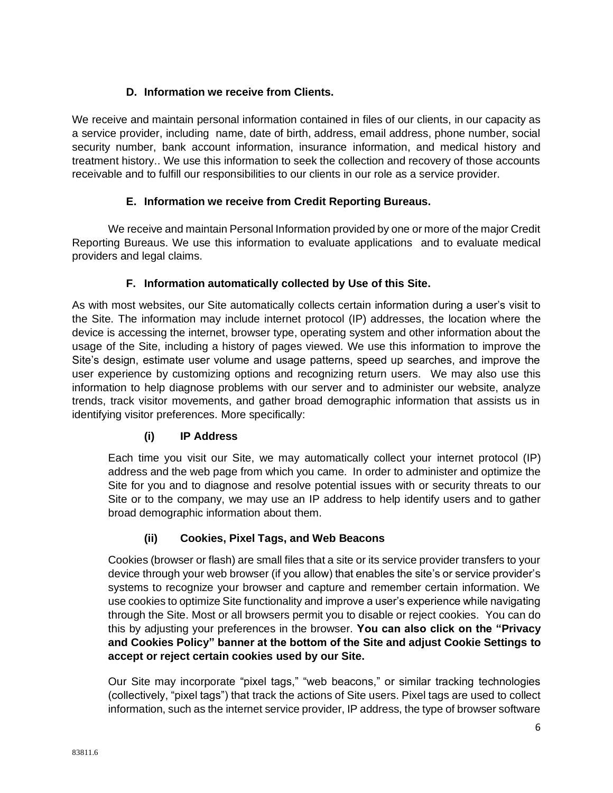## **D. Information we receive from Clients.**

We receive and maintain personal information contained in files of our clients, in our capacity as a service provider, including name, date of birth, address, email address, phone number, social security number, bank account information, insurance information, and medical history and treatment history.. We use this information to seek the collection and recovery of those accounts receivable and to fulfill our responsibilities to our clients in our role as a service provider.

# **E. Information we receive from Credit Reporting Bureaus.**

We receive and maintain Personal Information provided by one or more of the major Credit Reporting Bureaus. We use this information to evaluate applications and to evaluate medical providers and legal claims.

# **F. Information automatically collected by Use of this Site.**

As with most websites, our Site automatically collects certain information during a user's visit to the Site. The information may include internet protocol (IP) addresses, the location where the device is accessing the internet, browser type, operating system and other information about the usage of the Site, including a history of pages viewed. We use this information to improve the Site's design, estimate user volume and usage patterns, speed up searches, and improve the user experience by customizing options and recognizing return users. We may also use this information to help diagnose problems with our server and to administer our website, analyze trends, track visitor movements, and gather broad demographic information that assists us in identifying visitor preferences. More specifically:

# **(i) IP Address**

Each time you visit our Site, we may automatically collect your internet protocol (IP) address and the web page from which you came. In order to administer and optimize the Site for you and to diagnose and resolve potential issues with or security threats to our Site or to the company, we may use an IP address to help identify users and to gather broad demographic information about them.

## **(ii) Cookies, Pixel Tags, and Web Beacons**

Cookies (browser or flash) are small files that a site or its service provider transfers to your device through your web browser (if you allow) that enables the site's or service provider's systems to recognize your browser and capture and remember certain information. We use cookies to optimize Site functionality and improve a user's experience while navigating through the Site. Most or all browsers permit you to disable or reject cookies. You can do this by adjusting your preferences in the browser. **You can also click on the "Privacy and Cookies Policy" banner at the bottom of the Site and adjust Cookie Settings to accept or reject certain cookies used by our Site.**

Our Site may incorporate "pixel tags," "web beacons," or similar tracking technologies (collectively, "pixel tags") that track the actions of Site users. Pixel tags are used to collect information, such as the internet service provider, IP address, the type of browser software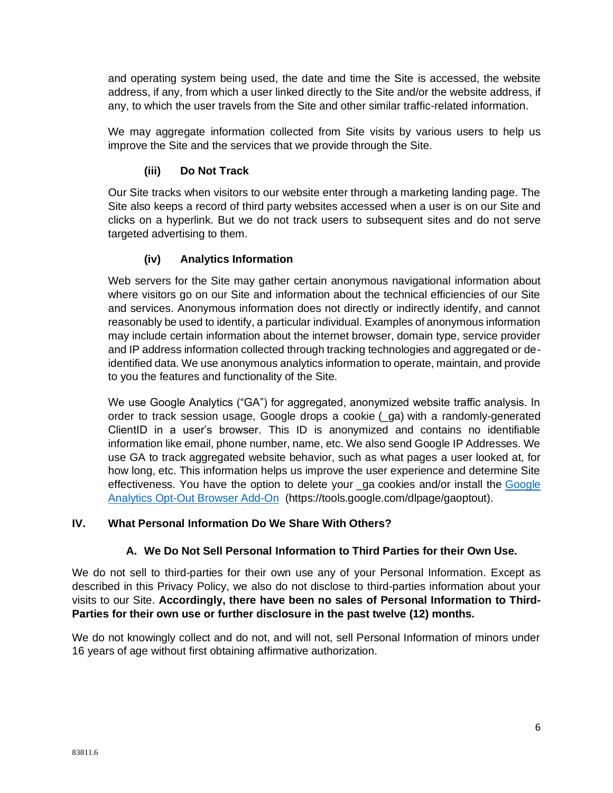and operating system being used, the date and time the Site is accessed, the website address, if any, from which a user linked directly to the Site and/or the website address, if any, to which the user travels from the Site and other similar traffic-related information.

We may aggregate information collected from Site visits by various users to help us improve the Site and the services that we provide through the Site.

# **(iii) Do Not Track**

Our Site tracks when visitors to our website enter through a marketing landing page. The Site also keeps a record of third party websites accessed when a user is on our Site and clicks on a hyperlink. But we do not track users to subsequent sites and do not serve targeted advertising to them.

## **(iv) Analytics Information**

Web servers for the Site may gather certain anonymous navigational information about where visitors go on our Site and information about the technical efficiencies of our Site and services. Anonymous information does not directly or indirectly identify, and cannot reasonably be used to identify, a particular individual. Examples of anonymous information may include certain information about the internet browser, domain type, service provider and IP address information collected through tracking technologies and aggregated or deidentified data. We use anonymous analytics information to operate, maintain, and provide to you the features and functionality of the Site.

We use Google Analytics ("GA") for aggregated, anonymized website traffic analysis. In order to track session usage, Google drops a cookie (\_ga) with a randomly-generated ClientID in a user's browser. This ID is anonymized and contains no identifiable information like email, phone number, name, etc. We also send Google IP Addresses. We use GA to track aggregated website behavior, such as what pages a user looked at, for how long, etc. This information helps us improve the user experience and determine Site effectiveness. You have the option to delete your ga cookies and/or install the Google [Analytics Opt-Out Browser Add-On](about:blank) (https://tools.google.com/dlpage/gaoptout).

## **IV. What Personal Information Do We Share With Others?**

## **A. We Do Not Sell Personal Information to Third Parties for their Own Use.**

We do not sell to third-parties for their own use any of your Personal Information. Except as described in this Privacy Policy, we also do not disclose to third-parties information about your visits to our Site. **Accordingly, there have been no sales of Personal Information to Third-Parties for their own use or further disclosure in the past twelve (12) months.**

We do not knowingly collect and do not, and will not, sell Personal Information of minors under 16 years of age without first obtaining affirmative authorization.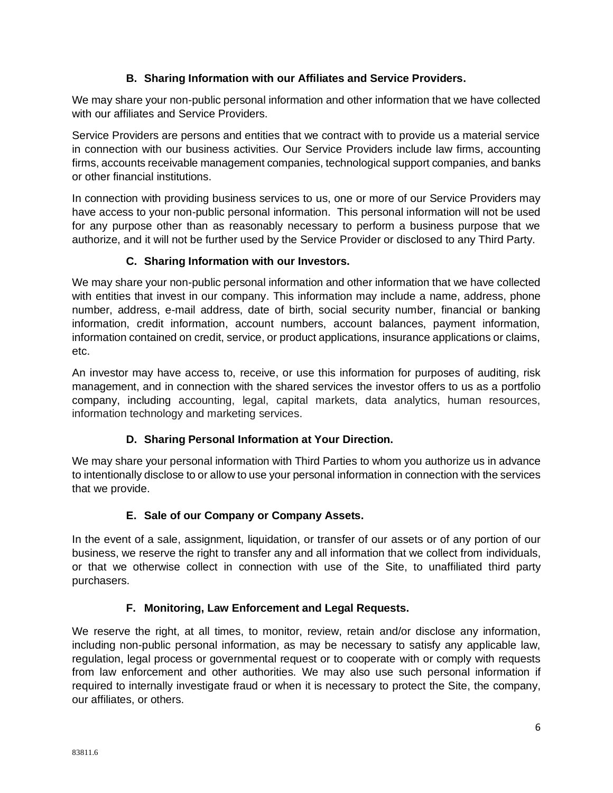## **B. Sharing Information with our Affiliates and Service Providers.**

We may share your non-public personal information and other information that we have collected with our affiliates and Service Providers.

Service Providers are persons and entities that we contract with to provide us a material service in connection with our business activities. Our Service Providers include law firms, accounting firms, accounts receivable management companies, technological support companies, and banks or other financial institutions.

In connection with providing business services to us, one or more of our Service Providers may have access to your non-public personal information. This personal information will not be used for any purpose other than as reasonably necessary to perform a business purpose that we authorize, and it will not be further used by the Service Provider or disclosed to any Third Party.

## **C. Sharing Information with our Investors.**

We may share your non-public personal information and other information that we have collected with entities that invest in our company. This information may include a name, address, phone number, address, e-mail address, date of birth, social security number, financial or banking information, credit information, account numbers, account balances, payment information, information contained on credit, service, or product applications, insurance applications or claims, etc.

An investor may have access to, receive, or use this information for purposes of auditing, risk management, and in connection with the shared services the investor offers to us as a portfolio company, including accounting, legal, capital markets, data analytics, human resources, information technology and marketing services.

# **D. Sharing Personal Information at Your Direction.**

We may share your personal information with Third Parties to whom you authorize us in advance to intentionally disclose to or allow to use your personal information in connection with the services that we provide.

# **E. Sale of our Company or Company Assets.**

In the event of a sale, assignment, liquidation, or transfer of our assets or of any portion of our business, we reserve the right to transfer any and all information that we collect from individuals, or that we otherwise collect in connection with use of the Site, to unaffiliated third party purchasers.

# **F. Monitoring, Law Enforcement and Legal Requests.**

We reserve the right, at all times, to monitor, review, retain and/or disclose any information, including non-public personal information, as may be necessary to satisfy any applicable law, regulation, legal process or governmental request or to cooperate with or comply with requests from law enforcement and other authorities. We may also use such personal information if required to internally investigate fraud or when it is necessary to protect the Site, the company, our affiliates, or others.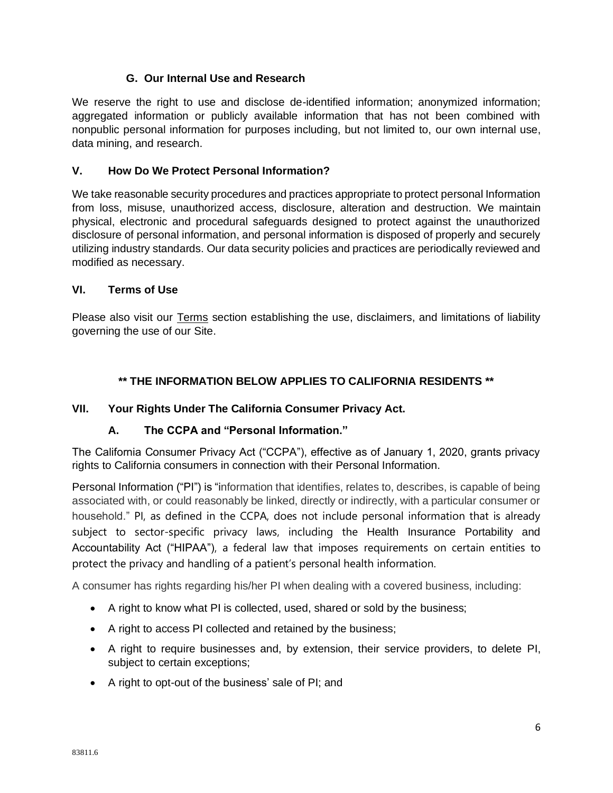## **G. Our Internal Use and Research**

We reserve the right to use and disclose de-identified information; anonymized information; aggregated information or publicly available information that has not been combined with nonpublic personal information for purposes including, but not limited to, our own internal use, data mining, and research.

### **V. How Do We Protect Personal Information?**

We take reasonable security procedures and practices appropriate to protect personal Information from loss, misuse, unauthorized access, disclosure, alteration and destruction. We maintain physical, electronic and procedural safeguards designed to protect against the unauthorized disclosure of personal information, and personal information is disposed of properly and securely utilizing industry standards. Our data security policies and practices are periodically reviewed and modified as necessary.

#### **VI. Terms of Use**

Please also visit our Terms section establishing the use, disclaimers, and limitations of liability governing the use of our Site.

### **\*\* THE INFORMATION BELOW APPLIES TO CALIFORNIA RESIDENTS \*\***

### **VII. Your Rights Under The California Consumer Privacy Act.**

### **A. The CCPA and "Personal Information."**

The California Consumer Privacy Act ("CCPA"), effective as of January 1, 2020, grants privacy rights to California consumers in connection with their Personal Information.

Personal Information ("PI") is "information that identifies, relates to, describes, is capable of being associated with, or could reasonably be linked, directly or indirectly, with a particular consumer or household." PI, as defined in the CCPA, does not include personal information that is already subject to sector-specific privacy laws, including the Health Insurance Portability and Accountability Act ("HIPAA"), a federal law that imposes requirements on certain entities to protect the privacy and handling of a patient's personal health information.

A consumer has rights regarding his/her PI when dealing with a covered business, including:

- A right to know what PI is collected, used, shared or sold by the business;
- A right to access PI collected and retained by the business;
- A right to require businesses and, by extension, their service providers, to delete PI, subject to certain exceptions;
- A right to opt-out of the business' sale of PI; and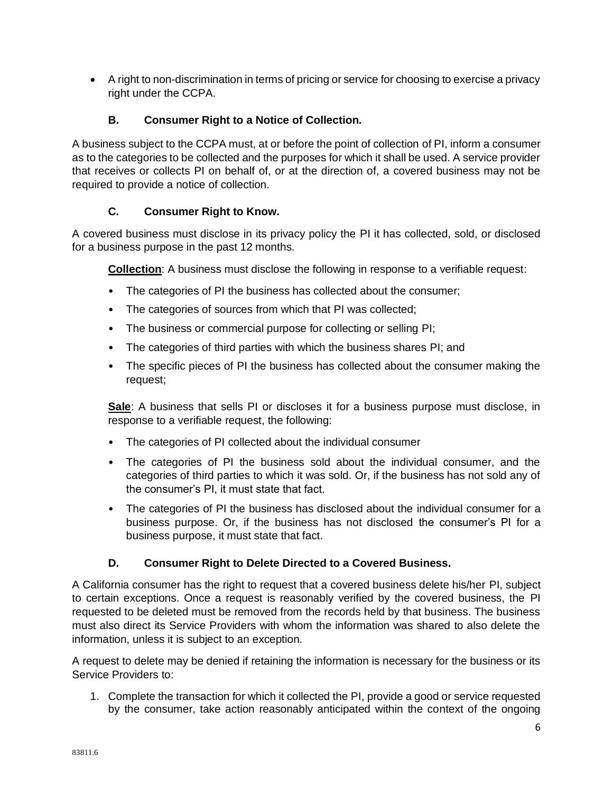• A right to non-discrimination in terms of pricing or service for choosing to exercise a privacy right under the CCPA.

## **B. Consumer Right to a Notice of Collection.**

A business subject to the CCPA must, at or before the point of collection of PI, inform a consumer as to the categories to be collected and the purposes for which it shall be used. A service provider that receives or collects PI on behalf of, or at the direction of, a covered business may not be required to provide a notice of collection.

## **C. Consumer Right to Know.**

A covered business must disclose in its privacy policy the PI it has collected, sold, or disclosed for a business purpose in the past 12 months.

**Collection**: A business must disclose the following in response to a verifiable request:

- The categories of PI the business has collected about the consumer;
- The categories of sources from which that PI was collected;
- The business or commercial purpose for collecting or selling PI;
- The categories of third parties with which the business shares PI; and
- The specific pieces of PI the business has collected about the consumer making the request;

**Sale**: A business that sells PI or discloses it for a business purpose must disclose, in response to a verifiable request, the following:

- The categories of PI collected about the individual consumer
- The categories of PI the business sold about the individual consumer, and the categories of third parties to which it was sold. Or, if the business has not sold any of the consumer's PI, it must state that fact.
- The categories of PI the business has disclosed about the individual consumer for a business purpose. Or, if the business has not disclosed the consumer's PI for a business purpose, it must state that fact.

## **D. Consumer Right to Delete Directed to a Covered Business.**

A California consumer has the right to request that a covered business delete his/her PI, subject to certain exceptions. Once a request is reasonably verified by the covered business, the PI requested to be deleted must be removed from the records held by that business. The business must also direct its Service Providers with whom the information was shared to also delete the information, unless it is subject to an exception.

A request to delete may be denied if retaining the information is necessary for the business or its Service Providers to:

1. Complete the transaction for which it collected the PI, provide a good or service requested by the consumer, take action reasonably anticipated within the context of the ongoing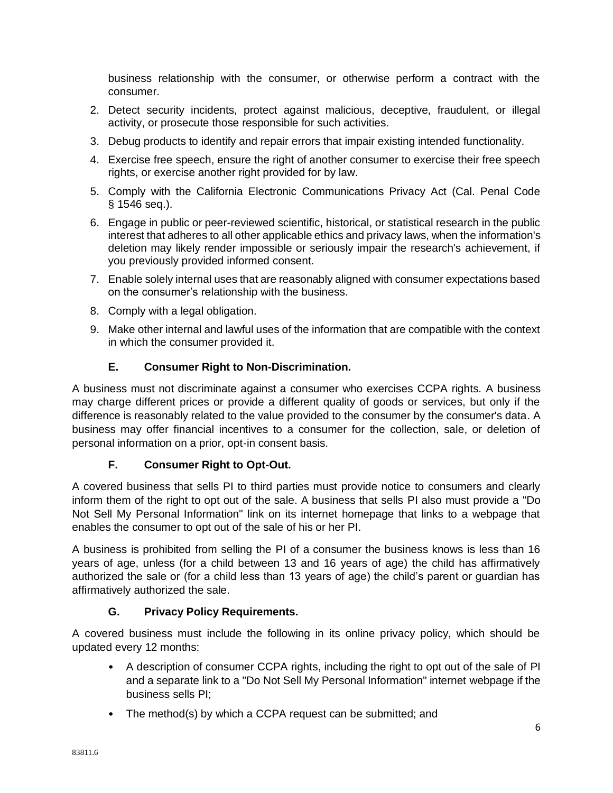business relationship with the consumer, or otherwise perform a contract with the consumer.

- 2. Detect security incidents, protect against malicious, deceptive, fraudulent, or illegal activity, or prosecute those responsible for such activities.
- 3. Debug products to identify and repair errors that impair existing intended functionality.
- 4. Exercise free speech, ensure the right of another consumer to exercise their free speech rights, or exercise another right provided for by law.
- 5. Comply with the California Electronic Communications Privacy Act (Cal. Penal Code § 1546 seq.).
- 6. Engage in public or peer-reviewed scientific, historical, or statistical research in the public interest that adheres to all other applicable ethics and privacy laws, when the information's deletion may likely render impossible or seriously impair the research's achievement, if you previously provided informed consent.
- 7. Enable solely internal uses that are reasonably aligned with consumer expectations based on the consumer's relationship with the business.
- 8. Comply with a legal obligation.
- 9. Make other internal and lawful uses of the information that are compatible with the context in which the consumer provided it.

# **E. Consumer Right to Non-Discrimination.**

A business must not discriminate against a consumer who exercises CCPA rights. A business may charge different prices or provide a different quality of goods or services, but only if the difference is reasonably related to the value provided to the consumer by the consumer's data. A business may offer financial incentives to a consumer for the collection, sale, or deletion of personal information on a prior, opt-in consent basis.

## **F. Consumer Right to Opt-Out.**

A covered business that sells PI to third parties must provide notice to consumers and clearly inform them of the right to opt out of the sale. A business that sells PI also must provide a "Do Not Sell My Personal Information" link on its internet homepage that links to a webpage that enables the consumer to opt out of the sale of his or her PI.

A business is prohibited from selling the PI of a consumer the business knows is less than 16 years of age, unless (for a child between 13 and 16 years of age) the child has affirmatively authorized the sale or (for a child less than 13 years of age) the child's parent or guardian has affirmatively authorized the sale.

## **G. Privacy Policy Requirements.**

A covered business must include the following in its online privacy policy, which should be updated every 12 months:

- A description of consumer CCPA rights, including the right to opt out of the sale of PI and a separate link to a "Do Not Sell My Personal Information" internet webpage if the business sells PI;
- The method(s) by which a CCPA request can be submitted; and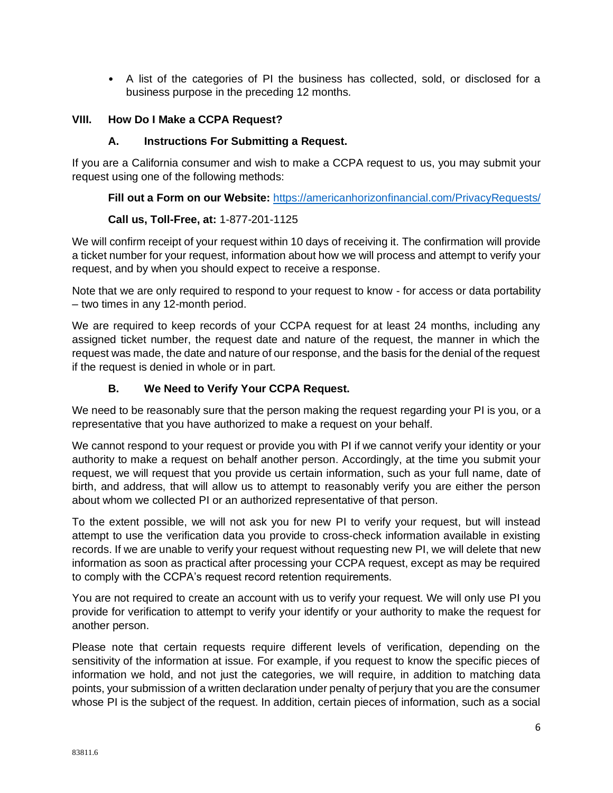• A list of the categories of PI the business has collected, sold, or disclosed for a business purpose in the preceding 12 months.

### **VIII. How Do I Make a CCPA Request?**

### **A. Instructions For Submitting a Request.**

If you are a California consumer and wish to make a CCPA request to us, you may submit your request using one of the following methods:

**Fill out a Form on our Website:** https://americanhorizonfinancial.com/PrivacyRequests/

### **Call us, Toll-Free, at:** 1-877-201-1125

We will confirm receipt of your request within 10 days of receiving it. The confirmation will provide a ticket number for your request, information about how we will process and attempt to verify your request, and by when you should expect to receive a response.

Note that we are only required to respond to your request to know - for access or data portability – two times in any 12-month period.

We are required to keep records of your CCPA request for at least 24 months, including any assigned ticket number, the request date and nature of the request, the manner in which the request was made, the date and nature of our response, and the basis for the denial of the request if the request is denied in whole or in part.

## **B. We Need to Verify Your CCPA Request.**

We need to be reasonably sure that the person making the request regarding your PI is you, or a representative that you have authorized to make a request on your behalf.

We cannot respond to your request or provide you with PI if we cannot verify your identity or your authority to make a request on behalf another person. Accordingly, at the time you submit your request, we will request that you provide us certain information, such as your full name, date of birth, and address, that will allow us to attempt to reasonably verify you are either the person about whom we collected PI or an authorized representative of that person.

To the extent possible, we will not ask you for new PI to verify your request, but will instead attempt to use the verification data you provide to cross-check information available in existing records. If we are unable to verify your request without requesting new PI, we will delete that new information as soon as practical after processing your CCPA request, except as may be required to comply with the CCPA's request record retention requirements.

You are not required to create an account with us to verify your request. We will only use PI you provide for verification to attempt to verify your identify or your authority to make the request for another person.

Please note that certain requests require different levels of verification, depending on the sensitivity of the information at issue. For example, if you request to know the specific pieces of information we hold, and not just the categories, we will require, in addition to matching data points, your submission of a written declaration under penalty of perjury that you are the consumer whose PI is the subject of the request. In addition, certain pieces of information, such as a social